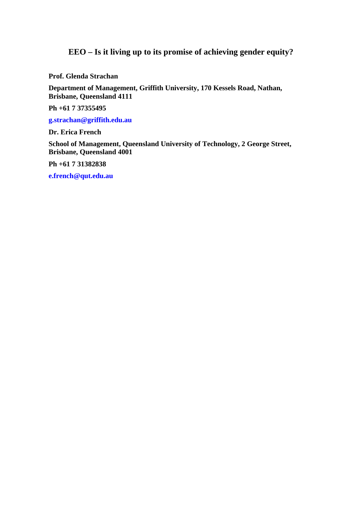# **EEO – Is it living up to its promise of achieving gender equity?**

**Prof. Glenda Strachan** 

**Department of Management, Griffith University, 170 Kessels Road, Nathan, Brisbane, Queensland 4111** 

**Ph +61 7 37355495** 

**g.strachan@griffith.edu.au**

**Dr. Erica French** 

**School of Management, Queensland University of Technology, 2 George Street, Brisbane, Queensland 4001** 

**Ph +61 7 31382838** 

**e.french@qut.edu.au**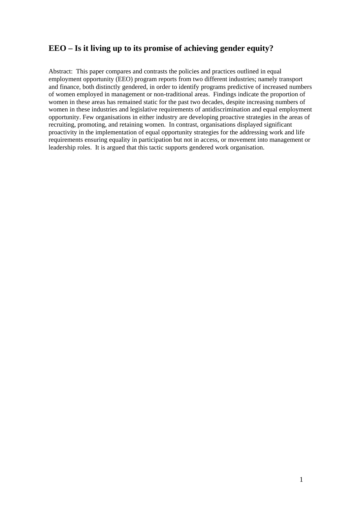## **EEO – Is it living up to its promise of achieving gender equity?**

Abstract: This paper compares and contrasts the policies and practices outlined in equal employment opportunity (EEO) program reports from two different industries; namely transport and finance, both distinctly gendered, in order to identify programs predictive of increased numbers of women employed in management or non-traditional areas. Findings indicate the proportion of women in these areas has remained static for the past two decades, despite increasing numbers of women in these industries and legislative requirements of antidiscrimination and equal employment opportunity. Few organisations in either industry are developing proactive strategies in the areas of recruiting, promoting, and retaining women. In contrast, organisations displayed significant proactivity in the implementation of equal opportunity strategies for the addressing work and life requirements ensuring equality in participation but not in access, or movement into management or leadership roles. It is argued that this tactic supports gendered work organisation.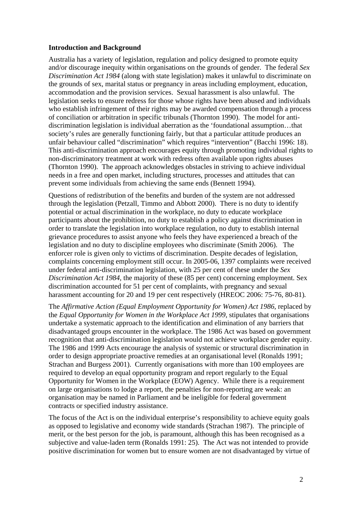### **Introduction and Background**

Australia has a variety of legislation, regulation and policy designed to promote equity and/or discourage inequity within organisations on the grounds of gender. The federal *Sex Discrimination Act 1984* (along with state legislation) makes it unlawful to discriminate on the grounds of sex, marital status or pregnancy in areas including employment, education, accommodation and the provision services. Sexual harassment is also unlawful. The legislation seeks to ensure redress for those whose rights have been abused and individuals who establish infringement of their rights may be awarded compensation through a process of conciliation or arbitration in specific tribunals (Thornton 1990). The model for antidiscrimination legislation is individual aberration as the 'foundational assumption…that society's rules are generally functioning fairly, but that a particular attitude produces an unfair behaviour called "discrimination" which requires "intervention" (Bacchi 1996: 18). This anti-discrimination approach encourages equity through promoting individual rights to non-discriminatory treatment at work with redress often available upon rights abuses (Thornton 1990). The approach acknowledges obstacles in striving to achieve individual needs in a free and open market, including structures, processes and attitudes that can prevent some individuals from achieving the same ends (Bennett 1994).

Questions of redistribution of the benefits and burden of the system are not addressed through the legislation (Petzall, Timmo and Abbott 2000). There is no duty to identify potential or actual discrimination in the workplace, no duty to educate workplace participants about the prohibition, no duty to establish a policy against discrimination in order to translate the legislation into workplace regulation, no duty to establish internal grievance procedures to assist anyone who feels they have experienced a breach of the legislation and no duty to discipline employees who discriminate (Smith 2006). The enforcer role is given only to victims of discrimination. Despite decades of legislation, complaints concerning employment still occur. In 2005-06, 1397 complaints were received under federal anti-discrimination legislation, with 25 per cent of these under the *Sex Discrimination Act 1984*, the majority of these (85 per cent) concerning employment. Sex discrimination accounted for 51 per cent of complaints, with pregnancy and sexual harassment accounting for 20 and 19 per cent respectively (HREOC 2006: 75-76, 80-81)*.*

The *Affirmative Action (Equal Employment Opportunity for Women) Act 1986*, replaced by the *Equal Opportunity for Women in the Workplace Act 1999*, stipulates that organisations undertake a systematic approach to the identification and elimination of any barriers that disadvantaged groups encounter in the workplace. The 1986 Act was based on government recognition that anti-discrimination legislation would not achieve workplace gender equity. The 1986 and 1999 Acts encourage the analysis of systemic or structural discrimination in order to design appropriate proactive remedies at an organisational level (Ronalds 1991; Strachan and Burgess 2001). Currently organisations with more than 100 employees are required to develop an equal opportunity program and report regularly to the Equal Opportunity for Women in the Workplace (EOW) Agency. While there is a requirement on large organisations to lodge a report, the penalties for non-reporting are weak: an organisation may be named in Parliament and be ineligible for federal government contracts or specified industry assistance.

The focus of the Act is on the individual enterprise's responsibility to achieve equity goals as opposed to legislative and economy wide standards (Strachan 1987). The principle of merit, or the best person for the job, is paramount, although this has been recognised as a subjective and value-laden term (Ronalds 1991: 25). The Act was not intended to provide positive discrimination for women but to ensure women are not disadvantaged by virtue of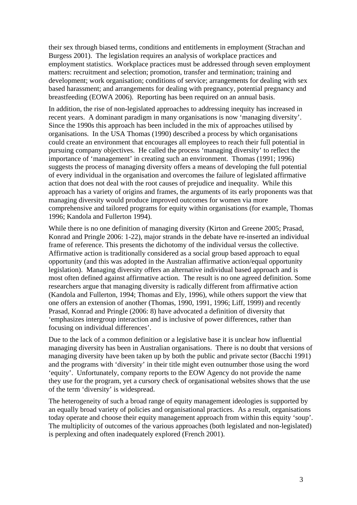their sex through biased terms, conditions and entitlements in employment (Strachan and Burgess 2001). The legislation requires an analysis of workplace practices and employment statistics. Workplace practices must be addressed through seven employment matters: recruitment and selection; promotion, transfer and termination; training and development; work organisation; conditions of service; arrangements for dealing with sex based harassment; and arrangements for dealing with pregnancy, potential pregnancy and breastfeeding (EOWA 2006). Reporting has been required on an annual basis.

In addition, the rise of non-legislated approaches to addressing inequity has increased in recent years. A dominant paradigm in many organisations is now 'managing diversity'. Since the 1990s this approach has been included in the mix of approaches utilised by organisations. In the USA Thomas (1990) described a process by which organisations could create an environment that encourages all employees to reach their full potential in pursuing company objectives. He called the process 'managing diversity' to reflect the importance of 'management' in creating such an environment. Thomas (1991; 1996) suggests the process of managing diversity offers a means of developing the full potential of every individual in the organisation and overcomes the failure of legislated affirmative action that does not deal with the root causes of prejudice and inequality. While this approach has a variety of origins and frames, the arguments of its early proponents was that managing diversity would produce improved outcomes for women via more comprehensive and tailored programs for equity within organisations (for example, Thomas 1996; Kandola and Fullerton 1994).

While there is no one definition of managing diversity (Kirton and Greene 2005; Prasad, Konrad and Pringle 2006: 1-22), major strands in the debate have re-inserted an individual frame of reference. This presents the dichotomy of the individual versus the collective. Affirmative action is traditionally considered as a social group based approach to equal opportunity (and this was adopted in the Australian affirmative action/equal opportunity legislation). Managing diversity offers an alternative individual based approach and is most often defined against affirmative action. The result is no one agreed definition. Some researchers argue that managing diversity is radically different from affirmative action (Kandola and Fullerton, 1994; Thomas and Ely, 1996), while others support the view that one offers an extension of another (Thomas, 1990, 1991, 1996; Liff, 1999) and recently Prasad, Konrad and Pringle (2006: 8) have advocated a definition of diversity that 'emphasizes intergroup interaction and is inclusive of power differences, rather than focusing on individual differences'.

Due to the lack of a common definition or a legislative base it is unclear how influential managing diversity has been in Australian organisations. There is no doubt that versions of managing diversity have been taken up by both the public and private sector (Bacchi 1991) and the programs with 'diversity' in their title might even outnumber those using the word 'equity'. Unfortunately, company reports to the EOW Agency do not provide the name they use for the program, yet a cursory check of organisational websites shows that the use of the term 'diversity' is widespread.

The heterogeneity of such a broad range of equity management ideologies is supported by an equally broad variety of policies and organisational practices. As a result, organisations today operate and choose their equity management approach from within this equity 'soup'. The multiplicity of outcomes of the various approaches (both legislated and non-legislated) is perplexing and often inadequately explored (French 2001).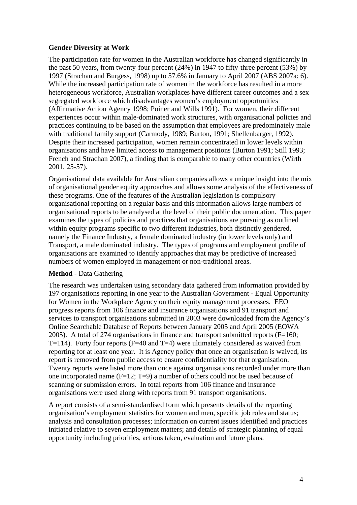### **Gender Diversity at Work**

The participation rate for women in the Australian workforce has changed significantly in the past 50 years, from twenty-four percent (24%) in 1947 to fifty-three percent (53%) by 1997 (Strachan and Burgess, 1998) up to 57.6% in January to April 2007 (ABS 2007a: 6). While the increased participation rate of women in the workforce has resulted in a more heterogeneous workforce, Australian workplaces have different career outcomes and a sex segregated workforce which disadvantages women's employment opportunities (Affirmative Action Agency 1998; Poiner and Wills 1991). For women, their different experiences occur within male-dominated work structures, with organisational policies and practices continuing to be based on the assumption that employees are predominately male with traditional family support (Carmody, 1989; Burton, 1991; Shellenbarger, 1992). Despite their increased participation, women remain concentrated in lower levels within organisations and have limited access to management positions (Burton 1991; Still 1993; French and Strachan 2007), a finding that is comparable to many other countries (Wirth 2001, 25-57).

Organisational data available for Australian companies allows a unique insight into the mix of organisational gender equity approaches and allows some analysis of the effectiveness of these programs. One of the features of the Australian legislation is compulsory organisational reporting on a regular basis and this information allows large numbers of organisational reports to be analysed at the level of their public documentation. This paper examines the types of policies and practices that organisations are pursuing as outlined within equity programs specific to two different industries, both distinctly gendered, namely the Finance Industry, a female dominated industry (in lower levels only) and Transport, a male dominated industry. The types of programs and employment profile of organisations are examined to identify approaches that may be predictive of increased numbers of women employed in management or non-traditional areas.

### **Method -** Data Gathering

The research was undertaken using secondary data gathered from information provided by 197 organisations reporting in one year to the Australian Government - Equal Opportunity for Women in the Workplace Agency on their equity management processes. EEO progress reports from 106 finance and insurance organisations and 91 transport and services to transport organisations submitted in 2003 were downloaded from the Agency's Online Searchable Database of Reports between January 2005 and April 2005 (EOWA 2005). A total of 274 organisations in finance and transport submitted reports  $(F=160;$ T=114). Forty four reports (F=40 and T=4) were ultimately considered as waived from reporting for at least one year. It is Agency policy that once an organisation is waived, its report is removed from public access to ensure confidentiality for that organisation. Twenty reports were listed more than once against organisations recorded under more than one incorporated name  $(F=12; T=9)$  a number of others could not be used because of scanning or submission errors. In total reports from 106 finance and insurance organisations were used along with reports from 91 transport organisations.

A report consists of a semi-standardised form which presents details of the reporting organisation's employment statistics for women and men, specific job roles and status; analysis and consultation processes; information on current issues identified and practices initiated relative to seven employment matters; and details of strategic planning of equal opportunity including priorities, actions taken, evaluation and future plans.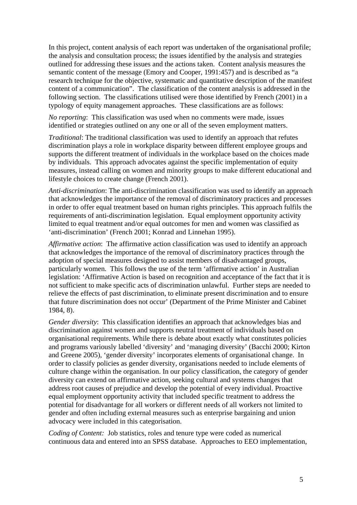In this project, content analysis of each report was undertaken of the organisational profile; the analysis and consultation process; the issues identified by the analysis and strategies outlined for addressing these issues and the actions taken. Content analysis measures the semantic content of the message (Emory and Cooper, 1991:457) and is described as "a research technique for the objective, systematic and quantitative description of the manifest content of a communication". The classification of the content analysis is addressed in the following section. The classifications utilised were those identified by French (2001) in a typology of equity management approaches. These classifications are as follows:

*No reporting*: This classification was used when no comments were made, issues identified or strategies outlined on any one or all of the seven employment matters.

*Traditional*: The traditional classification was used to identify an approach that refutes discrimination plays a role in workplace disparity between different employee groups and supports the different treatment of individuals in the workplace based on the choices made by individuals. This approach advocates against the specific implementation of equity measures, instead calling on women and minority groups to make different educational and lifestyle choices to create change (French 2001).

*Anti-discrimination*: The anti-discrimination classification was used to identify an approach that acknowledges the importance of the removal of discriminatory practices and processes in order to offer equal treatment based on human rights principles. This approach fulfils the requirements of anti-discrimination legislation. Equal employment opportunity activity limited to equal treatment and/or equal outcomes for men and women was classified as 'anti-discrimination' (French 2001; Konrad and Linnehan 1995).

*Affirmative action*: The affirmative action classification was used to identify an approach that acknowledges the importance of the removal of discriminatory practices through the adoption of special measures designed to assist members of disadvantaged groups, particularly women. This follows the use of the term 'affirmative action' in Australian legislation: 'Affirmative Action is based on recognition and acceptance of the fact that it is not sufficient to make specific acts of discrimination unlawful. Further steps are needed to relieve the effects of past discrimination, to eliminate present discrimination and to ensure that future discrimination does not occur' (Department of the Prime Minister and Cabinet 1984, 8).

*Gender diversity*:This classification identifies an approach that acknowledges bias and discrimination against women and supports neutral treatment of individuals based on organisational requirements. While there is debate about exactly what constitutes policies and programs variously labelled 'diversity' and 'managing diversity' (Bacchi 2000; Kirton and Greene 2005), 'gender diversity' incorporates elements of organisational change. In order to classify policies as gender diversity, organisations needed to include elements of culture change within the organisation. In our policy classification, the category of gender diversity can extend on affirmative action, seeking cultural and systems changes that address root causes of prejudice and develop the potential of every individual. Proactive equal employment opportunity activity that included specific treatment to address the potential for disadvantage for all workers or different needs of all workers not limited to gender and often including external measures such as enterprise bargaining and union advocacy were included in this categorisation.

*Coding of Content:* Job statistics, roles and tenure type were coded as numerical continuous data and entered into an SPSS database. Approaches to EEO implementation,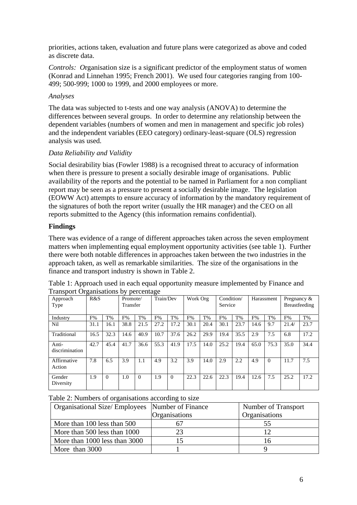priorities, actions taken, evaluation and future plans were categorized as above and coded as discrete data.

*Controls: O*rganisation size is a significant predictor of the employment status of women (Konrad and Linnehan 1995; French 2001). We used four categories ranging from 100- 499; 500-999; 1000 to 1999, and 2000 employees or more.

### *Analyses*

The data was subjected to t-tests and one way analysis (ANOVA) to determine the differences between several groups. In order to determine any relationship between the dependent variables (numbers of women and men in management and specific job roles) and the independent variables (EEO category) ordinary-least-square (OLS) regression analysis was used.

### *Data Reliability and Validity*

Social desirability bias (Fowler 1988) is a recognised threat to accuracy of information when there is pressure to present a socially desirable image of organisations. Public availability of the reports and the potential to be named in Parliament for a non compliant report may be seen as a pressure to present a socially desirable image. The legislation (EOWW Act) attempts to ensure accuracy of information by the mandatory requirement of the signatures of both the report writer (usually the HR manager) and the CEO on all reports submitted to the Agency (this information remains confidential).

### **Findings**

There was evidence of a range of different approaches taken across the seven employment matters when implementing equal employment opportunity activities (see table 1). Further there were both notable differences in approaches taken between the two industries in the approach taken, as well as remarkable similarities. The size of the organisations in the finance and transport industry is shown in Table 2.

| Approach<br>Type        | R&S  |          | Promote/<br>Transfer |          | Train/Dev |          | Work Org |      | Condition/<br>Service |      | Harassment |          | Pregnancy $\&$<br><b>Breastfeeding</b> |       |
|-------------------------|------|----------|----------------------|----------|-----------|----------|----------|------|-----------------------|------|------------|----------|----------------------------------------|-------|
| Industry                | F%   | T%       | F%                   | $T\%$    | F%        | T%       | F%       | T%   | F%                    | T%   | F%         | T%       | F%                                     | $T\%$ |
| Nil                     | 31.1 | 16.1     | 38.8                 | 21.5     | 27.2      | 17.2     | 30.1     | 20.4 | 30.1                  | 23.7 | 14.6       | 9.7      | 21.4/                                  | 23.7  |
| Traditional             | 16.5 | 32.3     | 14.6                 | 40.9     | 10.7      | 37.6     | 26.2     | 29.9 | 19.4                  | 35.5 | 2.9        | 7.5      | 6.8                                    | 17.2  |
| Anti-<br>discrimination | 42.7 | 45.4     | 41.7                 | 36.6     | 55.3      | 41.9     | 17.5     | 14.0 | 25.2                  | 19.4 | 65.0       | 75.3     | 35.0                                   | 34.4  |
| Affirmative<br>Action   | 7.8  | 6.5      | 3.9                  | 1.1      | 4.9       | 3.2      | 3.9      | 14.0 | 2.9                   | 2.2  | 4.9        | $\theta$ | 11.7                                   | 7.5   |
| Gender<br>Diversity     | 1.9  | $\Omega$ | 1.0                  | $\Omega$ | 1.9       | $\Omega$ | 22.3     | 22.6 | 22.3                  | 19.4 | 12.6       | 7.5      | 25.2                                   | 17.2  |

| Table 1: Approach used in each equal opportunity measure implemented by Finance and |  |  |
|-------------------------------------------------------------------------------------|--|--|
| <b>Transport Organisations by percentage</b>                                        |  |  |

Table 2: Numbers of organisations according to size

| Organisational Size/Employees Number of Finance |               | Number of Transport |  |  |
|-------------------------------------------------|---------------|---------------------|--|--|
|                                                 | Organisations | Organisations       |  |  |
| More than 100 less than 500                     |               | 55                  |  |  |
| More than 500 less than 1000                    | 23            |                     |  |  |
| More than 1000 less than 3000                   |               | 16                  |  |  |
| More than 3000                                  |               |                     |  |  |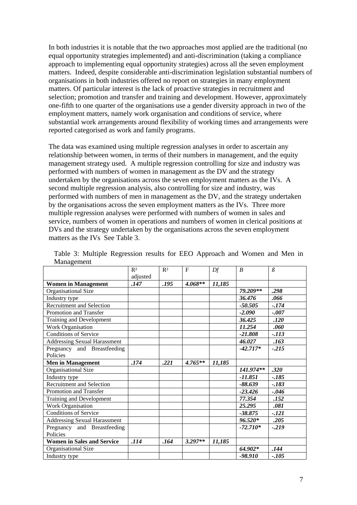In both industries it is notable that the two approaches most applied are the traditional (no equal opportunity strategies implemented) and anti-discrimination (taking a compliance approach to implementing equal opportunity strategies) across all the seven employment matters. Indeed, despite considerable anti-discrimination legislation substantial numbers of organisations in both industries offered no report on strategies in many employment matters. Of particular interest is the lack of proactive strategies in recruitment and selection; promotion and transfer and training and development. However, approximately one-fifth to one quarter of the organisations use a gender diversity approach in two of the employment matters, namely work organisation and conditions of service, where substantial work arrangements around flexibility of working times and arrangements were reported categorised as work and family programs.

The data was examined using multiple regression analyses in order to ascertain any relationship between women, in terms of their numbers in management, and the equity management strategy used. A multiple regression controlling for size and industry was performed with numbers of women in management as the DV and the strategy undertaken by the organisations across the seven employment matters as the IVs. A second multiple regression analysis, also controlling for size and industry, was performed with numbers of men in management as the DV, and the strategy undertaken by the organisations across the seven employment matters as the IVs. Three more multiple regression analyses were performed with numbers of women in sales and service, numbers of women in operations and numbers of women in clerical positions at DVs and the strategy undertaken by the organisations across the seven employment matters as the IVs See Table 3.

|                                     | R <sup>2</sup> | R <sup>2</sup> | $\mathbf F$ | Df     | $\boldsymbol{B}$ | $\beta$ |
|-------------------------------------|----------------|----------------|-------------|--------|------------------|---------|
|                                     | adjusted       |                |             |        |                  |         |
| <b>Women in Management</b>          | .147           | .195           | $4.068**$   | 11,185 |                  |         |
| Organisational Size                 |                |                |             |        | 79.209**         | .298    |
| Industry type                       |                |                |             |        | 36.476           | .066    |
| <b>Recruitment and Selection</b>    |                |                |             |        | $-50.505$        | $-.174$ |
| Promotion and Transfer              |                |                |             |        | $-2.090$         | $-.007$ |
| Training and Development            |                |                |             |        | 36.425           | .120    |
| Work Organisation                   |                |                |             |        | 11.254           | .060    |
| <b>Conditions of Service</b>        |                |                |             |        | $-21.808$        | $-.113$ |
| <b>Addressing Sexual Harassment</b> |                |                |             |        | 46.027           | .163    |
| Pregnancy and Breastfeeding         |                |                |             |        | $-42.717*$       | $-.215$ |
| Policies                            |                |                |             |        |                  |         |
| <b>Men in Management</b>            | .174           | .221           | $4.765**$   | 11,185 |                  |         |
| Organisational Size                 |                |                |             |        | 141.974**        | .320    |
| Industry type                       |                |                |             |        | -11.851          | $-.185$ |
| <b>Recruitment and Selection</b>    |                |                |             |        | $-88.639$        | $-.183$ |
| Promotion and Transfer              |                |                |             |        | $-23.426$        | $-.046$ |
| Training and Development            |                |                |             |        | 77.354           | .152    |
| Work Organisation                   |                |                |             |        | 25.295           | .081    |
| Conditions of Service               |                |                |             |        | $-38.875$        | $-121$  |
| <b>Addressing Sexual Harassment</b> |                |                |             |        | $96.520*$        | .205    |
| Pregnancy and Breastfeeding         |                |                |             |        | $-72.710*$       | $-219$  |
| Policies                            |                |                |             |        |                  |         |
| <b>Women in Sales and Service</b>   | .114           | .164           | $3.297**$   | 11,185 |                  |         |
| Organisational Size                 |                |                |             |        | $64.902*$        | .144    |
| Industry type                       |                |                |             |        | -98.910          | $-.105$ |

Table 3: Multiple Regression results for EEO Approach and Women and Men in Management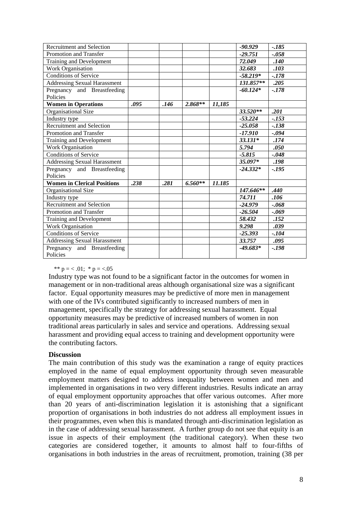| <b>Recruitment and Selection</b>    |      |      |           |        | $-90.929$  | $-.185$ |
|-------------------------------------|------|------|-----------|--------|------------|---------|
| Promotion and Transfer              |      |      |           |        | $-29.751$  | $-.058$ |
| Training and Development            |      |      |           |        | 72.049     | .140    |
| Work Organisation                   |      |      |           |        | 32.683     | .103    |
| <b>Conditions of Service</b>        |      |      |           |        | $-58.219*$ | $-.178$ |
| Addressing Sexual Harassment        |      |      |           |        | 131.857**  | .205    |
| Pregnancy and Breastfeeding         |      |      |           |        | $-60.124*$ | $-.178$ |
| Policies                            |      |      |           |        |            |         |
| <b>Women in Operations</b>          | .095 | .146 | $2.868**$ | 11,185 |            |         |
| Organisational Size                 |      |      |           |        | $33.520**$ | .201    |
| Industry type                       |      |      |           |        | $-53.224$  | $-.153$ |
| Recruitment and Selection           |      |      |           |        | $-25.058$  | $-.138$ |
| Promotion and Transfer              |      |      |           |        | -17.910    | -.094   |
| Training and Development            |      |      |           |        | $33.131*$  | .174    |
| <b>Work Organisation</b>            |      |      |           |        | 5.794      | .050    |
| <b>Conditions of Service</b>        |      |      |           |        | $-5.815$   | $-.048$ |
| <b>Addressing Sexual Harassment</b> |      |      |           |        | 35.097*    | .198    |
| Pregnancy and Breastfeeding         |      |      |           |        | $-24.332*$ | $-.195$ |
| Policies                            |      |      |           |        |            |         |
| <b>Women in Clerical Positions</b>  | .238 | .281 | $6.560**$ | 11.185 |            |         |
| Organisational Size                 |      |      |           |        | 147.646**  | .440    |
| Industry type                       |      |      |           |        | 74.711     | .106    |
| <b>Recruitment and Selection</b>    |      |      |           |        | $-24.979$  | $-.068$ |
| Promotion and Transfer              |      |      |           |        | $-26.504$  | $-.069$ |
| Training and Development            |      |      |           |        | 58.432     | .152    |
| <b>Work Organisation</b>            |      |      |           |        | 9.298      | .039    |
| <b>Conditions of Service</b>        |      |      |           |        | $-25.393$  | $-.104$ |
| <b>Addressing Sexual Harassment</b> |      |      |           |        | 33.757     | .095    |
| Pregnancy and Breastfeeding         |      |      |           |        | $-49.683*$ | $-.198$ |
| Policies                            |      |      |           |        |            |         |

\*\*  $p = 0.01$ ; \*  $p = 0.05$ 

Industry type was not found to be a significant factor in the outcomes for women in management or in non-traditional areas although organisational size was a significant factor. Equal opportunity measures may be predictive of more men in management with one of the IVs contributed significantly to increased numbers of men in management, specifically the strategy for addressing sexual harassment. Equal opportunity measures may be predictive of increased numbers of women in non traditional areas particularly in sales and service and operations. Addressing sexual harassment and providing equal access to training and development opportunity were the contributing factors.

#### **Discussion**

The main contribution of this study was the examination a range of equity practices employed in the name of equal employment opportunity through seven measurable employment matters designed to address inequality between women and men and implemented in organisations in two very different industries. Results indicate an array of equal employment opportunity approaches that offer various outcomes. After more than 20 years of anti-discrimination legislation it is astonishing that a significant proportion of organisations in both industries do not address all employment issues in their programmes, even when this is mandated through anti-discrimination legislation as in the case of addressing sexual harassment. A further group do not see that equity is an issue in aspects of their employment (the traditional category). When these two categories are considered together, it amounts to almost half to four-fifths of organisations in both industries in the areas of recruitment, promotion, training (38 per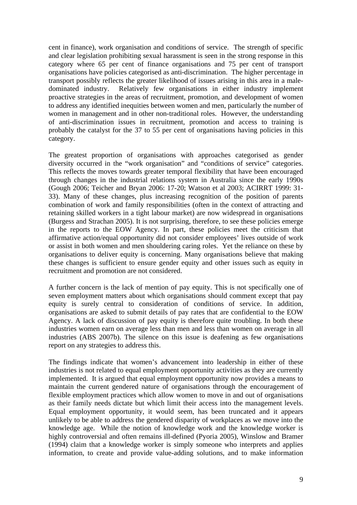cent in finance), work organisation and conditions of service. The strength of specific and clear legislation prohibiting sexual harassment is seen in the strong response in this category where 65 per cent of finance organisations and 75 per cent of transport organisations have policies categorised as anti-discrimination. The higher percentage in transport possibly reflects the greater likelihood of issues arising in this area in a maledominated industry. Relatively few organisations in either industry implement proactive strategies in the areas of recruitment, promotion, and development of women to address any identified inequities between women and men, particularly the number of women in management and in other non-traditional roles. However, the understanding of anti-discrimination issues in recruitment, promotion and access to training is probably the catalyst for the 37 to 55 per cent of organisations having policies in this category.

The greatest proportion of organisations with approaches categorised as gender diversity occurred in the "work organisation" and "conditions of service" categories. This reflects the moves towards greater temporal flexibility that have been encouraged through changes in the industrial relations system in Australia since the early 1990s (Gough 2006; Teicher and Bryan 2006: 17-20; Watson et al 2003; ACIRRT 1999: 31- 33). Many of these changes, plus increasing recognition of the position of parents combination of work and family responsibilities (often in the context of attracting and retaining skilled workers in a tight labour market) are now widespread in organisations (Burgess and Strachan 2005). It is not surprising, therefore, to see these policies emerge in the reports to the EOW Agency. In part, these policies meet the criticism that affirmative action/equal opportunity did not consider employees' lives outside of work or assist in both women and men shouldering caring roles. Yet the reliance on these by organisations to deliver equity is concerning. Many organisations believe that making these changes is sufficient to ensure gender equity and other issues such as equity in recruitment and promotion are not considered.

A further concern is the lack of mention of pay equity. This is not specifically one of seven employment matters about which organisations should comment except that pay equity is surely central to consideration of conditions of service. In addition, organisations are asked to submit details of pay rates that are confidential to the EOW Agency. A lack of discussion of pay equity is therefore quite troubling. In both these industries women earn on average less than men and less than women on average in all industries (ABS 2007b). The silence on this issue is deafening as few organisations report on any strategies to address this.

The findings indicate that women's advancement into leadership in either of these industries is not related to equal employment opportunity activities as they are currently implemented. It is argued that equal employment opportunity now provides a means to maintain the current gendered nature of organisations through the encouragement of flexible employment practices which allow women to move in and out of organisations as their family needs dictate but which limit their access into the management levels. Equal employment opportunity, it would seem, has been truncated and it appears unlikely to be able to address the gendered disparity of workplaces as we move into the knowledge age. While the notion of knowledge work and the knowledge worker is highly controversial and often remains ill-defined (Pyoria 2005), Winslow and Bramer (1994) claim that a knowledge worker is simply someone who interprets and applies information, to create and provide value-adding solutions, and to make information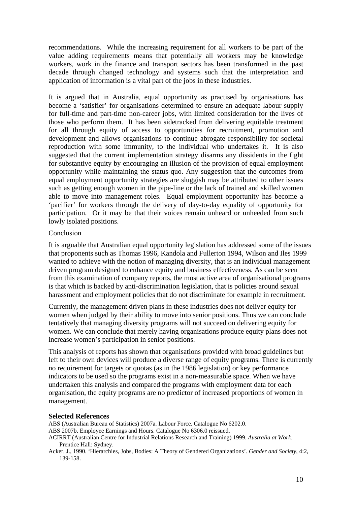recommendations. While the increasing requirement for all workers to be part of the value adding requirements means that potentially all workers may be knowledge workers, work in the finance and transport sectors has been transformed in the past decade through changed technology and systems such that the interpretation and application of information is a vital part of the jobs in these industries.

It is argued that in Australia, equal opportunity as practised by organisations has become a 'satisfier' for organisations determined to ensure an adequate labour supply for full-time and part-time non-career jobs, with limited consideration for the lives of those who perform them. It has been sidetracked from delivering equitable treatment for all through equity of access to opportunities for recruitment, promotion and development and allows organisations to continue abrogate responsibility for societal reproduction with some immunity, to the individual who undertakes it. It is also suggested that the current implementation strategy disarms any dissidents in the fight for substantive equity by encouraging an illusion of the provision of equal employment opportunity while maintaining the status quo. Any suggestion that the outcomes from equal employment opportunity strategies are sluggish may be attributed to other issues such as getting enough women in the pipe-line or the lack of trained and skilled women able to move into management roles. Equal employment opportunity has become a 'pacifier' for workers through the delivery of day-to-day equality of opportunity for participation. Or it may be that their voices remain unheard or unheeded from such lowly isolated positions.

### Conclusion

It is arguable that Australian equal opportunity legislation has addressed some of the issues that proponents such as Thomas 1996, Kandola and Fullerton 1994, Wilson and Iles 1999 wanted to achieve with the notion of managing diversity, that is an individual management driven program designed to enhance equity and business effectiveness. As can be seen from this examination of company reports, the most active area of organisational programs is that which is backed by anti-discrimination legislation, that is policies around sexual harassment and employment policies that do not discriminate for example in recruitment.

Currently, the management driven plans in these industries does not deliver equity for women when judged by their ability to move into senior positions. Thus we can conclude tentatively that managing diversity programs will not succeed on delivering equity for women. We can conclude that merely having organisations produce equity plans does not increase women's participation in senior positions.

This analysis of reports has shown that organisations provided with broad guidelines but left to their own devices will produce a diverse range of equity programs. There is currently no requirement for targets or quotas (as in the 1986 legislation) or key performance indicators to be used so the programs exist in a non-measurable space. When we have undertaken this analysis and compared the programs with employment data for each organisation, the equity programs are no predictor of increased proportions of women in management.

### **Selected References**

ABS (Australian Bureau of Statistics) 2007a. Labour Force. Catalogue No 6202.0.

- ABS 2007b. Employee Earnings and Hours. Catalogue No 6306.0 reissued.
- ACIRRT (Australian Centre for Industrial Relations Research and Training) 1999. *Australia at Work*. Prentice Hall: Sydney.
- Acker, J., 1990. 'Hierarchies, Jobs, Bodies: A Theory of Gendered Organizations'. *Gender and Society*, 4:2, 139-158.